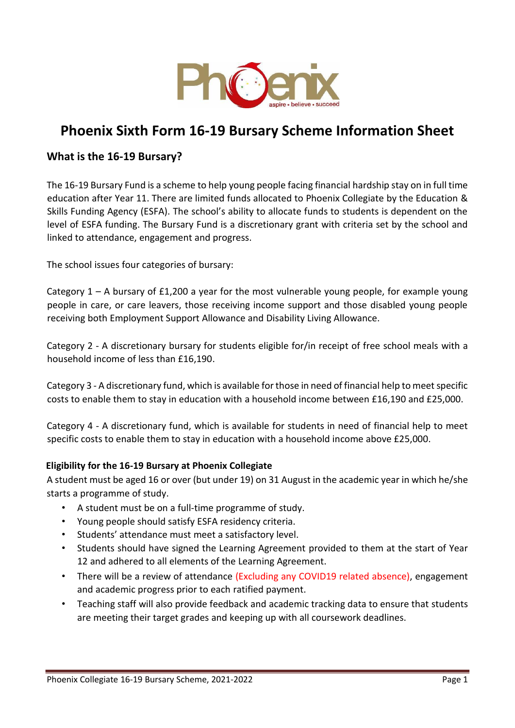

# **Phoenix Sixth Form 16-19 Bursary Scheme Information Sheet**

## **What is the 16-19 Bursary?**

The 16-19 Bursary Fund is a scheme to help young people facing financial hardship stay on in full time education after Year 11. There are limited funds allocated to Phoenix Collegiate by the Education & Skills Funding Agency (ESFA). The school's ability to allocate funds to students is dependent on the level of ESFA funding. The Bursary Fund is a discretionary grant with criteria set by the school and linked to attendance, engagement and progress.

The school issues four categories of bursary:

Category  $1 - A$  bursary of £1,200 a year for the most vulnerable young people, for example young people in care, or care leavers, those receiving income support and those disabled young people receiving both Employment Support Allowance and Disability Living Allowance.

Category 2 - A discretionary bursary for students eligible for/in receipt of free school meals with a household income of less than £16,190.

Category 3 - A discretionary fund, which is available for those in need of financial help to meet specific costs to enable them to stay in education with a household income between £16,190 and £25,000.

Category 4 - A discretionary fund, which is available for students in need of financial help to meet specific costs to enable them to stay in education with a household income above £25,000.

## **Eligibility for the 16-19 Bursary at Phoenix Collegiate**

A student must be aged 16 or over (but under 19) on 31 August in the academic year in which he/she starts a programme of study.

- A student must be on a full-time programme of study.
- Young people should satisfy ESFA residency criteria.
- Students' attendance must meet a satisfactory level.
- Students should have signed the Learning Agreement provided to them at the start of Year 12 and adhered to all elements of the Learning Agreement.
- There will be a review of attendance (Excluding any COVID19 related absence), engagement and academic progress prior to each ratified payment.
- Teaching staff will also provide feedback and academic tracking data to ensure that students are meeting their target grades and keeping up with all coursework deadlines.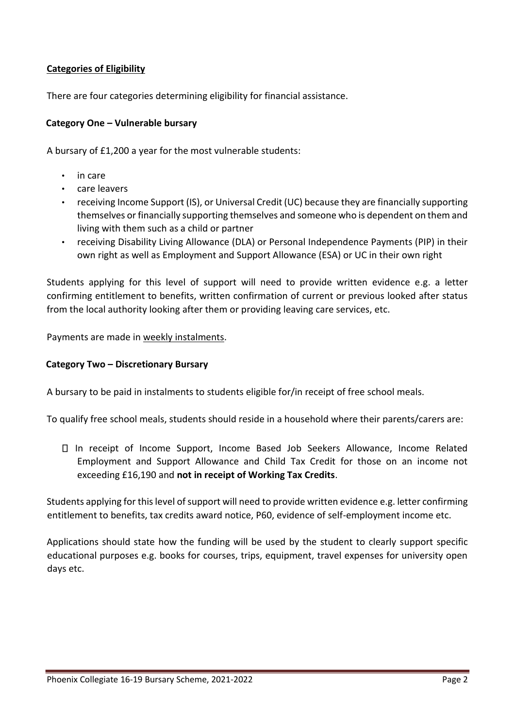## **Categories of Eligibility**

There are four categories determining eligibility for financial assistance.

## **Category One – Vulnerable bursary**

A bursary of £1,200 a year for the most vulnerable students:

- in care
- care leavers
- receiving Income Support (IS), or Universal Credit (UC) because they are financially supporting themselves or financially supporting themselves and someone who is dependent on them and living with them such as a child or partner
- receiving Disability Living Allowance (DLA) or Personal Independence Payments (PIP) in their own right as well as Employment and Support Allowance (ESA) or UC in their own right

Students applying for this level of support will need to provide written evidence e.g. a letter confirming entitlement to benefits, written confirmation of current or previous looked after status from the local authority looking after them or providing leaving care services, etc.

Payments are made in weekly instalments.

#### **Category Two – Discretionary Bursary**

A bursary to be paid in instalments to students eligible for/in receipt of free school meals.

To qualify free school meals, students should reside in a household where their parents/carers are:

In receipt of Income Support, Income Based Job Seekers Allowance, Income Related Employment and Support Allowance and Child Tax Credit for those on an income not exceeding £16,190 and **not in receipt of Working Tax Credits**.

Students applying for this level of support will need to provide written evidence e.g. letter confirming entitlement to benefits, tax credits award notice, P60, evidence of self-employment income etc.

Applications should state how the funding will be used by the student to clearly support specific educational purposes e.g. books for courses, trips, equipment, travel expenses for university open days etc.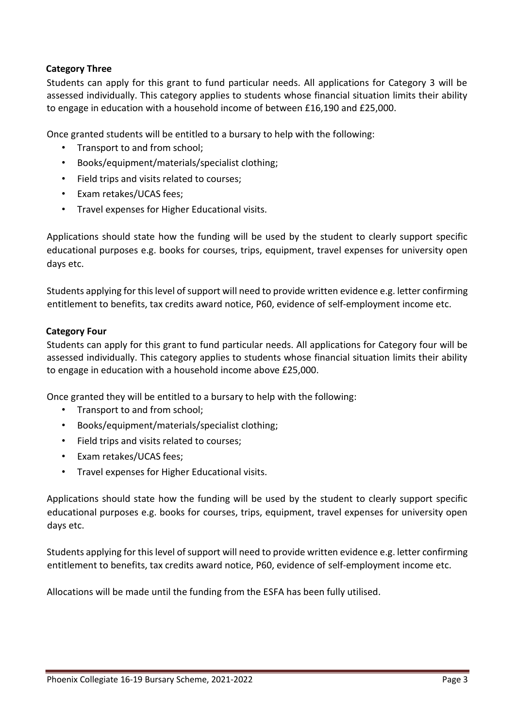## **Category Three**

Students can apply for this grant to fund particular needs. All applications for Category 3 will be assessed individually. This category applies to students whose financial situation limits their ability to engage in education with a household income of between £16,190 and £25,000.

Once granted students will be entitled to a bursary to help with the following:

- Transport to and from school;
- Books/equipment/materials/specialist clothing;
- Field trips and visits related to courses;
- Exam retakes/UCAS fees;
- Travel expenses for Higher Educational visits.

Applications should state how the funding will be used by the student to clearly support specific educational purposes e.g. books for courses, trips, equipment, travel expenses for university open days etc.

Students applying for this level of support will need to provide written evidence e.g. letter confirming entitlement to benefits, tax credits award notice, P60, evidence of self-employment income etc.

## **Category Four**

Students can apply for this grant to fund particular needs. All applications for Category four will be assessed individually. This category applies to students whose financial situation limits their ability to engage in education with a household income above £25,000.

Once granted they will be entitled to a bursary to help with the following:

- Transport to and from school;
- Books/equipment/materials/specialist clothing;
- Field trips and visits related to courses;
- Exam retakes/UCAS fees;
- Travel expenses for Higher Educational visits.

Applications should state how the funding will be used by the student to clearly support specific educational purposes e.g. books for courses, trips, equipment, travel expenses for university open days etc.

Students applying for this level of support will need to provide written evidence e.g. letter confirming entitlement to benefits, tax credits award notice, P60, evidence of self-employment income etc.

Allocations will be made until the funding from the ESFA has been fully utilised.